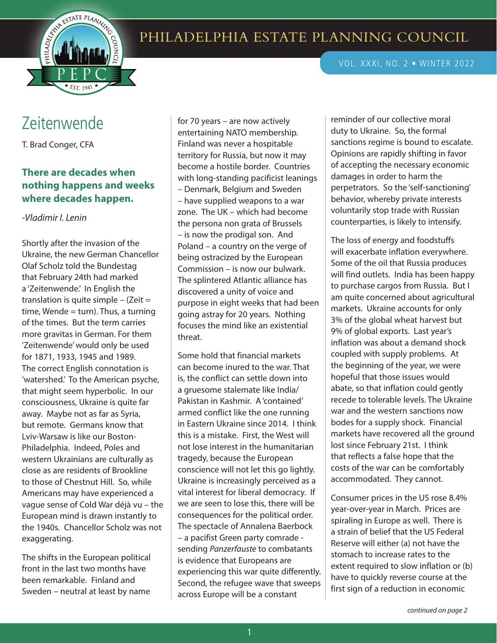

## VOL. XXXI, NO. 2 • WINTER 2022

## Zeitenwende

T. Brad Conger, CFA

## **There are decades when nothing happens and weeks where decades happen.**

*-Vladimir I. Lenin*

Shortly after the invasion of the Ukraine, the new German Chancellor Olaf Scholz told the Bundestag that February 24th had marked a 'Zeitenwende.' In English the translation is quite simple  $-$  (Zeit  $=$ time, Wende  $=$  turn). Thus, a turning of the times. But the term carries more gravitas in German. For them 'Zeitenwende' would only be used for 1871, 1933, 1945 and 1989. The correct English connotation is 'watershed.' To the American psyche, that might seem hyperbolic. In our consciousness, Ukraine is quite far away. Maybe not as far as Syria, but remote. Germans know that Lviv-Warsaw is like our Boston-Philadelphia. Indeed, Poles and western Ukrainians are culturally as close as are residents of Brookline to those of Chestnut Hill. So, while Americans may have experienced a vague sense of Cold War déjà vu – the European mind is drawn instantly to the 1940s. Chancellor Scholz was not exaggerating.

The shifts in the European political front in the last two months have been remarkable. Finland and Sweden – neutral at least by name

for 70 years – are now actively entertaining NATO membership. Finland was never a hospitable territory for Russia, but now it may become a hostile border. Countries with long-standing pacificist leanings – Denmark, Belgium and Sweden – have supplied weapons to a war zone. The UK – which had become the persona non grata of Brussels – is now the prodigal son. And Poland – a country on the verge of being ostracized by the European Commission – is now our bulwark. The splintered Atlantic alliance has discovered a unity of voice and purpose in eight weeks that had been going astray for 20 years. Nothing focuses the mind like an existential threat.

Some hold that financial markets can become inured to the war. That is, the conflict can settle down into a gruesome stalemate like India/ Pakistan in Kashmir. A 'contained' armed conflict like the one running in Eastern Ukraine since 2014. I think this is a mistake. First, the West will not lose interest in the humanitarian tragedy, because the European conscience will not let this go lightly. Ukraine is increasingly perceived as a vital interest for liberal democracy. If we are seen to lose this, there will be consequences for the political order. The spectacle of Annalena Baerbock – a pacifist Green party comrade sending *Panzerfauste* to combatants is evidence that Europeans are experiencing this war quite differently. Second, the refugee wave that sweeps across Europe will be a constant

reminder of our collective moral duty to Ukraine. So, the formal sanctions regime is bound to escalate. Opinions are rapidly shifting in favor of accepting the necessary economic damages in order to harm the perpetrators. So the 'self-sanctioning' behavior, whereby private interests voluntarily stop trade with Russian counterparties, is likely to intensify.

The loss of energy and foodstuffs will exacerbate inflation everywhere. Some of the oil that Russia produces will find outlets. India has been happy to purchase cargos from Russia. But I am quite concerned about agricultural markets. Ukraine accounts for only 3% of the global wheat harvest but 9% of global exports. Last year's inflation was about a demand shock coupled with supply problems. At the beginning of the year, we were hopeful that those issues would abate, so that inflation could gently recede to tolerable levels. The Ukraine war and the western sanctions now bodes for a supply shock. Financial markets have recovered all the ground lost since February 21st. I think that reflects a false hope that the costs of the war can be comfortably accommodated. They cannot.

Consumer prices in the US rose 8.4% year-over-year in March. Prices are spiraling in Europe as well. There is a strain of belief that the US Federal Reserve will either (a) not have the stomach to increase rates to the extent required to slow inflation or (b) have to quickly reverse course at the first sign of a reduction in economic